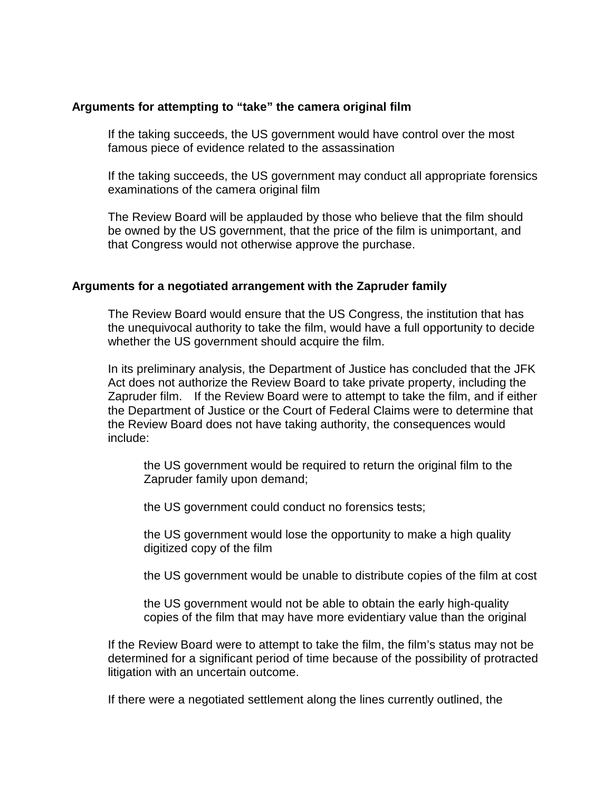## **Arguments for attempting to "take" the camera original film**

If the taking succeeds, the US government would have control over the most famous piece of evidence related to the assassination

If the taking succeeds, the US government may conduct all appropriate forensics examinations of the camera original film

The Review Board will be applauded by those who believe that the film should be owned by the US government, that the price of the film is unimportant, and that Congress would not otherwise approve the purchase.

## **Arguments for a negotiated arrangement with the Zapruder family**

The Review Board would ensure that the US Congress, the institution that has the unequivocal authority to take the film, would have a full opportunity to decide whether the US government should acquire the film.

In its preliminary analysis, the Department of Justice has concluded that the JFK Act does not authorize the Review Board to take private property, including the Zapruder film. If the Review Board were to attempt to take the film, and if either the Department of Justice or the Court of Federal Claims were to determine that the Review Board does not have taking authority, the consequences would include:

the US government would be required to return the original film to the Zapruder family upon demand;

the US government could conduct no forensics tests;

the US government would lose the opportunity to make a high quality digitized copy of the film

the US government would be unable to distribute copies of the film at cost

the US government would not be able to obtain the early high-quality copies of the film that may have more evidentiary value than the original

If the Review Board were to attempt to take the film, the film's status may not be determined for a significant period of time because of the possibility of protracted litigation with an uncertain outcome.

If there were a negotiated settlement along the lines currently outlined, the